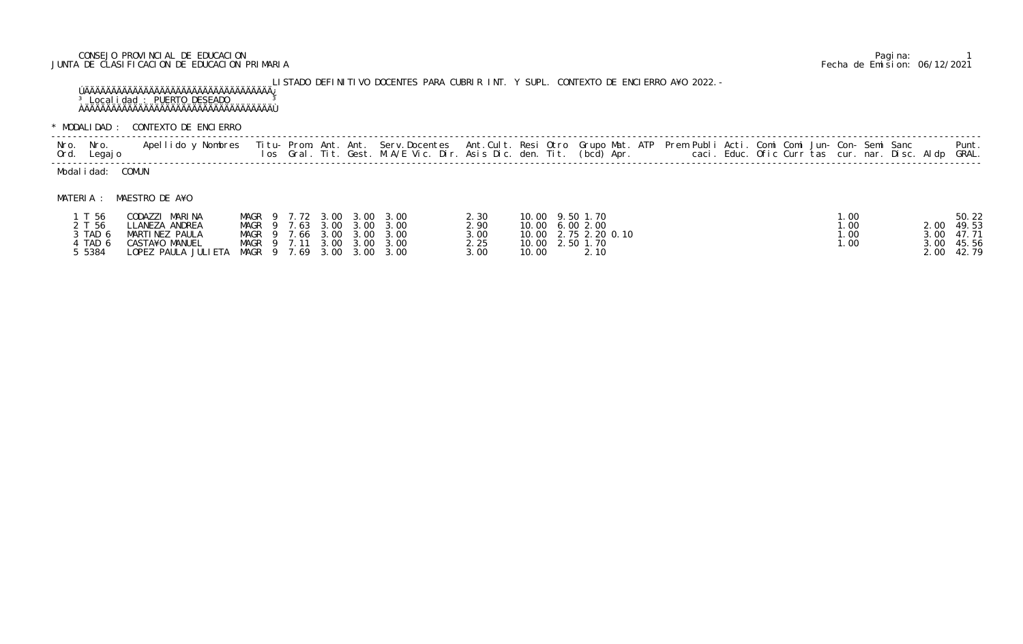## CONSEJO PROVINCIAL DE EDUCACION Pagina: 1 JUNTA DE CLASIFICACION DE EDUCACION PRIMARIA Fecha de Emision: 06/12/2021

LISTADO DEFINITIVO DOCENTES PARA CUBRIR INT. Y SUPL. CONTEXTO DE ENCIERRO A¥O 2022.- ÚÄÄÄÄÄÄÄÄÄÄÄÄÄÄÄÄÄÄÄÄÄÄÄÄÄÄÄÄÄÄÄÄÄÄÄ¿ <sup>3</sup> Localidad : PUERTO DESEADO <sup>3</sup> ÀÄÄÄÄÄÄÄÄÄÄÄÄÄÄÄÄÄÄÄÄÄÄÄÄÄÄÄÄÄÄÄÄÄÄÄÙ

\* MODALIDAD : CONTEXTO DE ENCIERRO

| Nro.<br>Nro.<br>Ord. Legajo | Apellido y Nombres               |                                                          | Titu- Prom. Ant. Ant. Serv.Docentes Ant.Cult. Resi Otro Grupo Mat. ATP Prem Publi Acti. Comi Comi Jun- Con- Semi Sanc<br>los Gral. Tit. Gest. M.A/E Vic. Dir. Asis Dic. den. Tit. (bcd) Apr.       caci. Educ. Ofic Curr tas cur. nar. Disc. Aldp GRAL. |               |                                    |  |  |      |        | Punt.          |
|-----------------------------|----------------------------------|----------------------------------------------------------|---------------------------------------------------------------------------------------------------------------------------------------------------------------------------------------------------------------------------------------------------------|---------------|------------------------------------|--|--|------|--------|----------------|
| Modalidad: COMUN            |                                  |                                                          |                                                                                                                                                                                                                                                         |               |                                    |  |  |      |        |                |
| MATERIA :                   | MAESTRO DE A¥O                   |                                                          |                                                                                                                                                                                                                                                         |               |                                    |  |  |      |        |                |
| T 56<br>2 I 56              | CODAZZI MARINA<br>IIANFZA ANDRFA | MAGR 9 7.72 3.00 3.00 3.00<br>MAGR 9 7 63 3 00 3 00 3 00 |                                                                                                                                                                                                                                                         | 2.30<br>2. QN | 10.00 9.50 1.70<br>10.00 6.00.2.00 |  |  | . 00 | 2 UU C | 50.22<br>49 53 |

| T 56    | CODAZZI MARINA                                 |  | MAGR 9 7.72 3.00 3.00 3.00 |               | 10.00 9.50 1.70      |     |              | 50.22 |
|---------|------------------------------------------------|--|----------------------------|---------------|----------------------|-----|--------------|-------|
| 2 T 56  | LLANEZA ANDREA                                 |  | MAGR 9 7.63 3.00 3.00 3.00 | 2.90          | 10.00 6.00 2.00      | .00 | 2.00 49.53   |       |
| 3 TAD 6 | MARTINEZ PAULA                                 |  | MAGR 9 7.66 3.00 3.00 3.00 | 3.00          | 10.00 2.75 2.20 0.10 | .00 | $3.00$ 47.71 |       |
| TAD 6   | CASTA¥O MANUEL                                 |  | MAGR 9 7.11 3.00 3.00 3.00 | 2.25          | 10.00 2.50 1.70      | .00 | $3.00$ 45.56 |       |
| 5384    | LOPEZ PAULA JULIETA MAGR 9 7.69 3.00 3.00 3.00 |  |                            | 3.00<br>10.00 | 2.10                 |     | 2.00 42.79   |       |